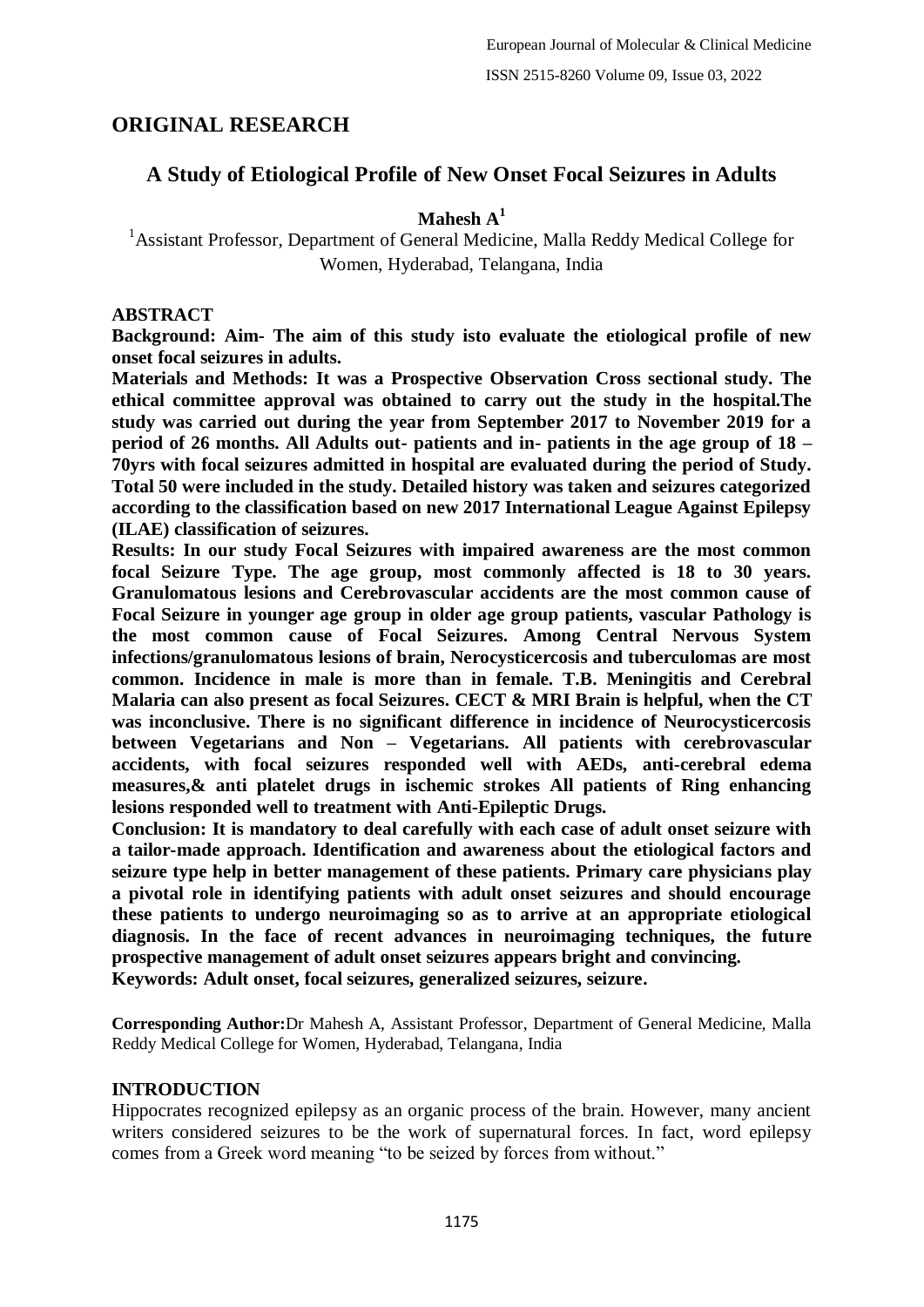## **ORIGINAL RESEARCH**

## **A Study of Etiological Profile of New Onset Focal Seizures in Adults**

**Mahesh A<sup>1</sup>**

<sup>1</sup> Assistant Professor, Department of General Medicine, Malla Reddy Medical College for Women, Hyderabad, Telangana, India

## **ABSTRACT**

**Background: Aim- The aim of this study isto evaluate the etiological profile of new onset focal seizures in adults.**

**Materials and Methods: It was a Prospective Observation Cross sectional study. The ethical committee approval was obtained to carry out the study in the hospital.The study was carried out during the year from September 2017 to November 2019 for a period of 26 months. All Adults out- patients and in- patients in the age group of 18 – 70yrs with focal seizures admitted in hospital are evaluated during the period of Study. Total 50 were included in the study. Detailed history was taken and seizures categorized according to the classification based on new 2017 International League Against Epilepsy (ILAE) classification of seizures.**

**Results: In our study Focal Seizures with impaired awareness are the most common focal Seizure Type. The age group, most commonly affected is 18 to 30 years. Granulomatous lesions and Cerebrovascular accidents are the most common cause of Focal Seizure in younger age group in older age group patients, vascular Pathology is the most common cause of Focal Seizures. Among Central Nervous System infections/granulomatous lesions of brain, Nerocysticercosis and tuberculomas are most common. Incidence in male is more than in female. T.B. Meningitis and Cerebral Malaria can also present as focal Seizures. CECT & MRI Brain is helpful, when the CT was inconclusive. There is no significant difference in incidence of Neurocysticercosis between Vegetarians and Non – Vegetarians. All patients with cerebrovascular accidents, with focal seizures responded well with AEDs, anti-cerebral edema measures,& anti platelet drugs in ischemic strokes All patients of Ring enhancing lesions responded well to treatment with Anti-Epileptic Drugs.**

**Conclusion: It is mandatory to deal carefully with each case of adult onset seizure with a tailor-made approach. Identification and awareness about the etiological factors and seizure type help in better management of these patients. Primary care physicians play a pivotal role in identifying patients with adult onset seizures and should encourage these patients to undergo neuroimaging so as to arrive at an appropriate etiological diagnosis. In the face of recent advances in neuroimaging techniques, the future prospective management of adult onset seizures appears bright and convincing. Keywords: Adult onset, focal seizures, generalized seizures, seizure.**

**Corresponding Author:**Dr Mahesh A, Assistant Professor, Department of General Medicine, Malla Reddy Medical College for Women, Hyderabad, Telangana, India

## **INTRODUCTION**

Hippocrates recognized epilepsy as an organic process of the brain. However, many ancient writers considered seizures to be the work of supernatural forces. In fact, word epilepsy comes from a Greek word meaning "to be seized by forces from without."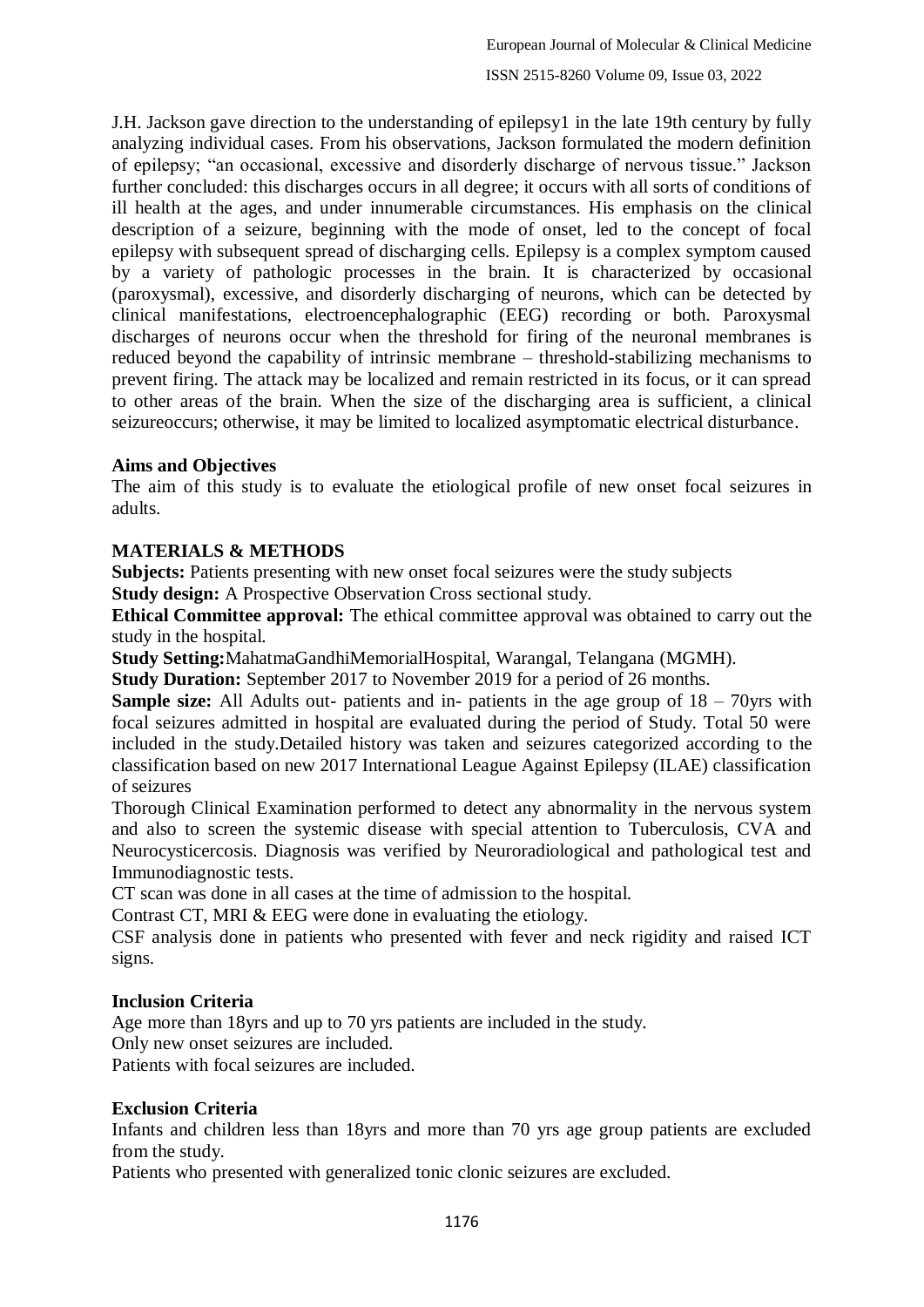J.H. Jackson gave direction to the understanding of epilepsy1 in the late 19th century by fully analyzing individual cases. From his observations, Jackson formulated the modern definition of epilepsy; "an occasional, excessive and disorderly discharge of nervous tissue." Jackson further concluded: this discharges occurs in all degree; it occurs with all sorts of conditions of ill health at the ages, and under innumerable circumstances. His emphasis on the clinical description of a seizure, beginning with the mode of onset, led to the concept of focal epilepsy with subsequent spread of discharging cells. Epilepsy is a complex symptom caused by a variety of pathologic processes in the brain. It is characterized by occasional (paroxysmal), excessive, and disorderly discharging of neurons, which can be detected by clinical manifestations, electroencephalographic (EEG) recording or both. Paroxysmal discharges of neurons occur when the threshold for firing of the neuronal membranes is reduced beyond the capability of intrinsic membrane – threshold-stabilizing mechanisms to prevent firing. The attack may be localized and remain restricted in its focus, or it can spread to other areas of the brain. When the size of the discharging area is sufficient, a clinical seizureoccurs; otherwise, it may be limited to localized asymptomatic electrical disturbance.

## **Aims and Objectives**

The aim of this study is to evaluate the etiological profile of new onset focal seizures in adults.

## **MATERIALS & METHODS**

**Subjects:** Patients presenting with new onset focal seizures were the study subjects

**Study design:** A Prospective Observation Cross sectional study.

**Ethical Committee approval:** The ethical committee approval was obtained to carry out the study in the hospital.

**Study Setting:**MahatmaGandhiMemorialHospital, Warangal, Telangana (MGMH).

**Study Duration:** September 2017 to November 2019 for a period of 26 months.

**Sample size:** All Adults out- patients and in- patients in the age group of 18 – 70yrs with focal seizures admitted in hospital are evaluated during the period of Study. Total 50 were included in the study.Detailed history was taken and seizures categorized according to the classification based on new 2017 International League Against Epilepsy (ILAE) classification of seizures

Thorough Clinical Examination performed to detect any abnormality in the nervous system and also to screen the systemic disease with special attention to Tuberculosis, CVA and Neurocysticercosis. Diagnosis was verified by Neuroradiological and pathological test and Immunodiagnostic tests.

CT scan was done in all cases at the time of admission to the hospital.

Contrast CT, MRI & EEG were done in evaluating the etiology.

CSF analysis done in patients who presented with fever and neck rigidity and raised ICT signs.

#### **Inclusion Criteria**

Age more than 18yrs and up to 70 yrs patients are included in the study.

Only new onset seizures are included.

Patients with focal seizures are included.

#### **Exclusion Criteria**

Infants and children less than 18yrs and more than 70 yrs age group patients are excluded from the study.

Patients who presented with generalized tonic clonic seizures are excluded.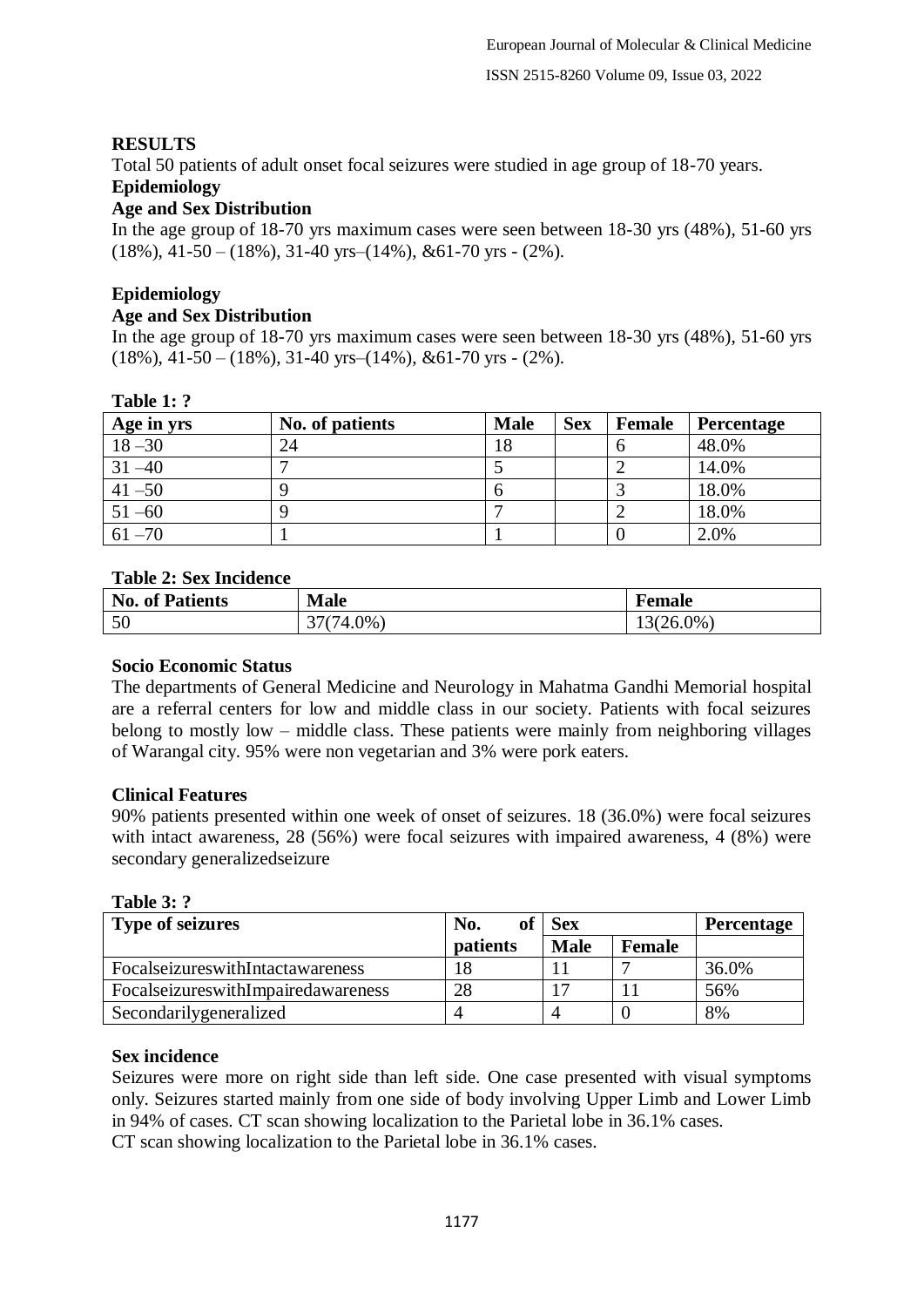## **RESULTS**

Total 50 patients of adult onset focal seizures were studied in age group of 18-70 years.

## **Epidemiology**

## **Age and Sex Distribution**

In the age group of 18-70 yrs maximum cases were seen between 18-30 yrs (48%), 51-60 yrs  $(18\%)$ , 41-50 –  $(18\%)$ , 31-40 yrs– $(14\%)$ , &61-70 yrs -  $(2\%)$ .

# **Epidemiology**

**Age and Sex Distribution**

In the age group of 18-70 yrs maximum cases were seen between 18-30 yrs (48%), 51-60 yrs  $(18\%)$ , 41-50 –  $(18\%)$ , 31-40 yrs– $(14\%)$ , &61-70 yrs -  $(2\%)$ .

## **Table 1: ?**

| Age in yrs | No. of patients | <b>Male</b> | <b>Sex</b> | Female | <b>Percentage</b> |
|------------|-----------------|-------------|------------|--------|-------------------|
| $18 - 30$  | 24              | 18          |            |        | 48.0%             |
| $31 - 40$  |                 |             |            |        | 14.0%             |
| $41 - 50$  |                 |             |            |        | 18.0%             |
| $51 - 60$  |                 |             |            |        | 18.0%             |
| $61 - 70$  |                 |             |            |        | 2.0%              |

## **Table 2: Sex Incidence**

| e Th<br>Patients<br>-01<br>INO. | <b>Male</b> | emale |
|---------------------------------|-------------|-------|
| 50<br>υU                        | $.0\%$      | 26.0% |

#### **Socio Economic Status**

The departments of General Medicine and Neurology in Mahatma Gandhi Memorial hospital are a referral centers for low and middle class in our society. Patients with focal seizures belong to mostly low – middle class. These patients were mainly from neighboring villages of Warangal city. 95% were non vegetarian and 3% were pork eaters.

## **Clinical Features**

90% patients presented within one week of onset of seizures. 18 (36.0%) were focal seizures with intact awareness, 28 (56%) were focal seizures with impaired awareness, 4 (8%) were secondary generalizedseizure

**Table 3: ?** 

| <b>Type of seizures</b>                 | No.      | <b>Sex</b>  | <b>Percentage</b> |       |
|-----------------------------------------|----------|-------------|-------------------|-------|
|                                         | patients | <b>Male</b> | <b>Female</b>     |       |
| FocalseizureswithIntactawareness        | 18       |             |                   | 36.0% |
| Focal seizures with Impair ed awareness | 28       |             |                   | 56%   |
| Secondarilygeneralized                  |          |             |                   | 8%    |

## **Sex incidence**

Seizures were more on right side than left side. One case presented with visual symptoms only. Seizures started mainly from one side of body involving Upper Limb and Lower Limb in 94% of cases. CT scan showing localization to the Parietal lobe in 36.1% cases.

CT scan showing localization to the Parietal lobe in 36.1% cases.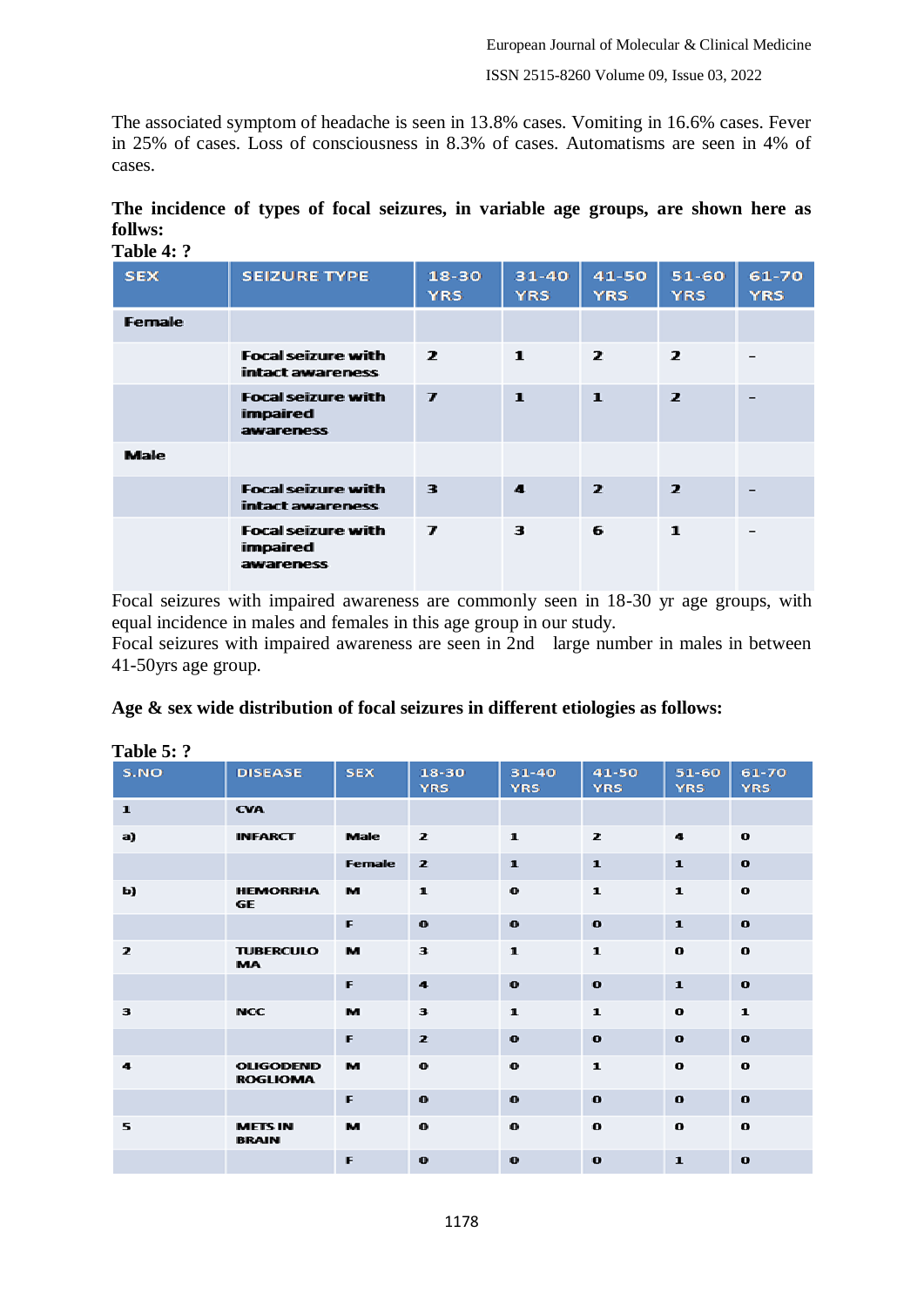The associated symptom of headache is seen in 13.8% cases. Vomiting in 16.6% cases. Fever in 25% of cases. Loss of consciousness in 8.3% of cases. Automatisms are seen in 4% of cases.

| The incidence of types of focal seizures, in variable age groups, are shown here as |  |  |  |  |  |  |
|-------------------------------------------------------------------------------------|--|--|--|--|--|--|
| follws:                                                                             |  |  |  |  |  |  |
| $\mathbf{T}_0$ <sub>b</sub> l <sub>o</sub> $\mathbf{A}$ , $\mathbf{9}$              |  |  |  |  |  |  |

| 1 adie 4: <i>:</i> |                                                    |                             |                         |                         |                         |                     |
|--------------------|----------------------------------------------------|-----------------------------|-------------------------|-------------------------|-------------------------|---------------------|
| <b>SEX</b>         | <b>SEIZURE TYPE</b>                                | 18-30<br><b>YRS</b>         | $31 - 40$<br><b>YRS</b> | 41-50<br><b>YRS</b>     | $51 - 60$<br><b>YRS</b> | 61-70<br><b>YRS</b> |
| <b>Female</b>      |                                                    |                             |                         |                         |                         |                     |
|                    | <b>Focal seizure with</b><br>intact awareness      | $\overline{ }$              | $\mathbf{1}$            | $\overline{z}$          | $\overline{z}$          |                     |
|                    | <b>Focal seizure with</b><br>impaired<br>awareness | $\overline{ }$              | $\mathbf{1}$            | $\mathbf{1}$            | $\overline{z}$          |                     |
| <b>Male</b>        |                                                    |                             |                         |                         |                         |                     |
|                    | <b>Focal seizure with</b><br>intact awareness      | 3                           | $\mathbf{A}$            | $\overline{\mathbf{z}}$ | $\overline{\mathbf{z}}$ |                     |
|                    | <b>Focal seizure with</b><br>impaired<br>awareness | $\overline{\boldsymbol{r}}$ | 3                       | 6                       | $\mathbf{1}$            |                     |

Focal seizures with impaired awareness are commonly seen in 18-30 yr age groups, with equal incidence in males and females in this age group in our study.

Focal seizures with impaired awareness are seen in 2nd large number in males in between 41-50yrs age group.

|  | Age & sex wide distribution of focal seizures in different etiologies as follows: |  |  |  |
|--|-----------------------------------------------------------------------------------|--|--|--|
|  |                                                                                   |  |  |  |
|  |                                                                                   |  |  |  |
|  |                                                                                   |  |  |  |

| TANIC J. .   |                                     |             |                         |                         |                     |                         |                     |
|--------------|-------------------------------------|-------------|-------------------------|-------------------------|---------------------|-------------------------|---------------------|
| S.NO         | <b>DISEASE</b>                      | <b>SEX</b>  | $18 - 30$<br><b>YRS</b> | $31 - 40$<br><b>YRS</b> | 41-50<br><b>YRS</b> | $51 - 60$<br><b>YRS</b> | 61-70<br><b>YRS</b> |
|              |                                     |             |                         |                         |                     |                         |                     |
| $\mathbf{1}$ | <b>CVA</b>                          |             |                         |                         |                     |                         |                     |
| a)           | <b>INFARCT</b>                      | <b>Male</b> | $\mathbf{z}$            | $\mathbf{1}$            | $\overline{z}$      | $\ddot{\mathbf{a}}$     | $\mathbf{o}$        |
|              |                                     | Female      | $\overline{z}$          | $\mathbf{1}$            | $\mathbf{1}$        | $\mathbf{1}$            | $\mathbf{o}$        |
| Ы)           | <b>HEMORRHA</b><br><b>GE</b>        | м           | $\mathbf{1}$            | $\bf{o}$                | $\mathbf{1}$        | $\mathbf{1}$            | $\mathbf{o}$        |
|              |                                     | F           | $\mathbf{o}$            | $\mathbf{o}$            | $\bullet$           | $\mathbf{1}$            | $\mathbf{o}$        |
| $\mathbf{z}$ | <b>TUBERCULO</b><br><b>MA</b>       | м           | $\overline{\mathbf{3}}$ | $\mathbf{1}$            | $\mathbf{1}$        | $\bf{o}$                | $\mathbf{o}$        |
|              |                                     | F           | $\ddot{\mathbf{a}}$     | $\bullet$               | $\bullet$           | $\mathbf{1}$            | $\mathbf{o}$        |
| 3            | <b>NCC</b>                          | м           | 3                       | $\mathbf{1}$            | $\mathbf{1}$        | $\mathbf o$             | $\mathbf{1}$        |
|              |                                     | F           | $\overline{z}$          | $\bf{o}$                | $\bullet$           | $\bullet$               | $\bullet$           |
| 4            | <b>OLIGODEND</b><br><b>ROGLIOMA</b> | м           | $\mathbf{o}$            | $\mathbf{o}$            | $\mathbf{1}$        | $\bf{o}$                | $\bf{o}$            |
|              |                                     | F           | $\bullet$               | $\bf{o}$                | $\bullet$           | $\bullet$               | $\bf{o}$            |
| 5            | <b>METS IN</b><br><b>BRAIN</b>      | м           | $\mathbf{o}$            | $\bf{o}$                | $\bf{o}$            | $\bf{o}$                | $\bf{o}$            |
|              |                                     | F           | $\bf{o}$                | $\bullet$               | $\bullet$           | $\mathbf{1}$            | $\bullet$           |

## **Table 5: ?**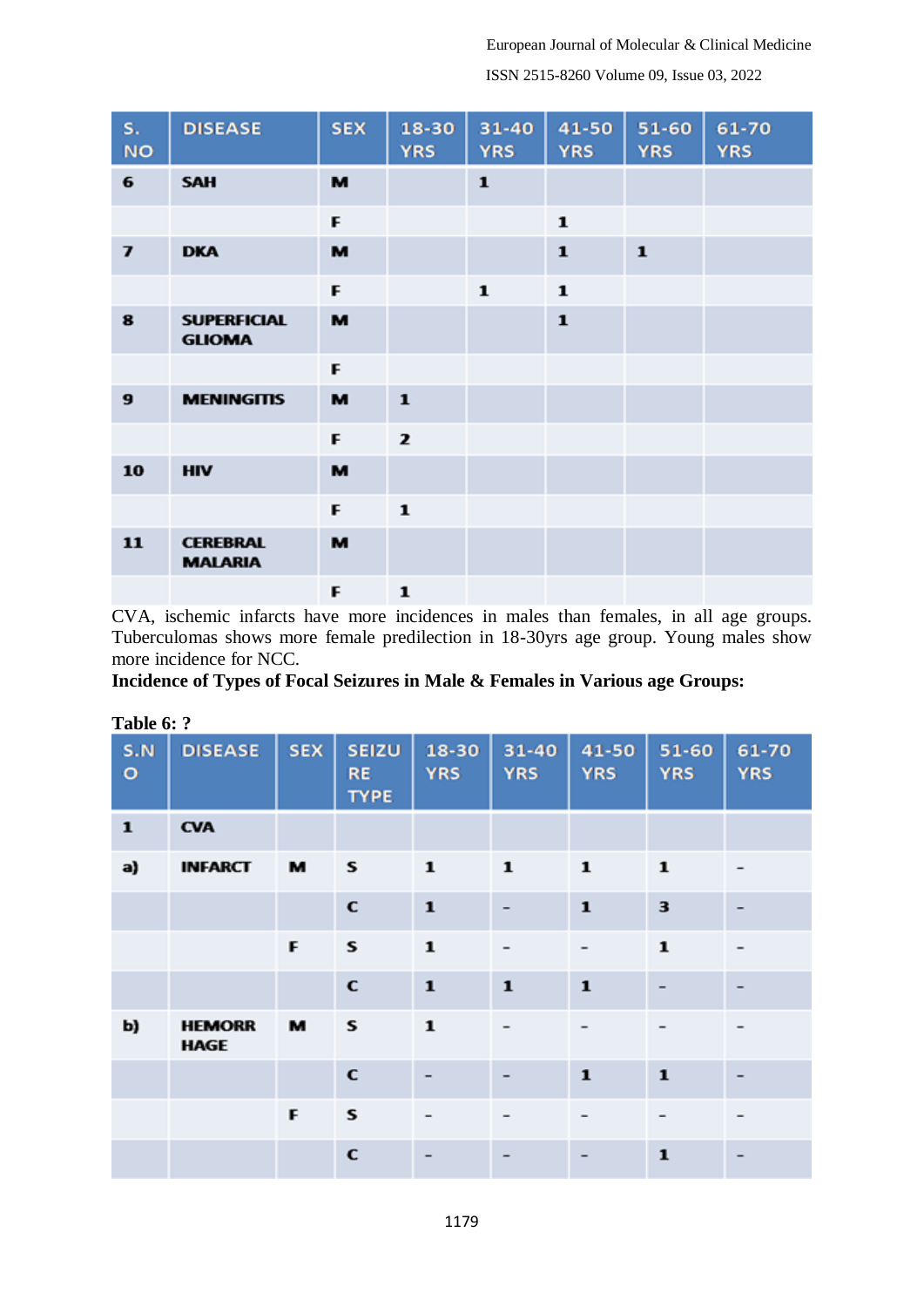European Journal of Molecular & Clinical Medicine

ISSN 2515-8260 Volume 09, Issue 03, 2022

| s.<br><b>NO</b>             | <b>DISEASE</b>                      | <b>SEX</b> | 18-30<br><b>YRS</b> | 31-40<br><b>YRS</b> | 41-50<br><b>YRS</b> | 51-60<br><b>YRS</b> | 61-70<br><b>YRS</b> |
|-----------------------------|-------------------------------------|------------|---------------------|---------------------|---------------------|---------------------|---------------------|
| 6                           | <b>SAH</b>                          | M          |                     | $\mathbf{1}$        |                     |                     |                     |
|                             |                                     | F          |                     |                     | ${\bf 1}$           |                     |                     |
| $\overline{\boldsymbol{I}}$ | <b>DKA</b>                          | M          |                     |                     | $\mathbf{1}$        | $\mathbf{1}$        |                     |
|                             |                                     | F          |                     | $\mathbf{1}$        | $\mathbf{1}$        |                     |                     |
| 8                           | <b>SUPERFICIAL</b><br><b>GLIOMA</b> | M          |                     |                     | $\mathbf{1}$        |                     |                     |
|                             |                                     | F          |                     |                     |                     |                     |                     |
| 9                           | <b>MENINGITIS</b>                   | M          | $\mathbf{1}$        |                     |                     |                     |                     |
|                             |                                     | F          | $\mathbf{z}$        |                     |                     |                     |                     |
| 10                          | <b>HIV</b>                          | M          |                     |                     |                     |                     |                     |
|                             |                                     | F          | $\mathbf{1}$        |                     |                     |                     |                     |
| 11                          | <b>CEREBRAL</b><br><b>MALARIA</b>   | M          |                     |                     |                     |                     |                     |
|                             |                                     | F          | $\mathbf{1}$        |                     |                     |                     |                     |

CVA, ischemic infarcts have more incidences in males than females, in all age groups. Tuberculomas shows more female predilection in 18-30yrs age group. Young males show more incidence for NCC.

**Incidence of Types of Focal Seizures in Male & Females in Various age Groups:**

| S.N<br>$\mathbf{o}$ | <b>DISEASE</b>               | <b>SEX</b> | <b>SEIZU</b><br><b>RE</b><br><b>TYPE</b> | 18-30<br><b>YRS</b> | $31 - 40$<br><b>YRS</b> | 41-50<br><b>YRS</b>      | 51-60<br><b>YRS</b> | 61-70<br><b>YRS</b>   |
|---------------------|------------------------------|------------|------------------------------------------|---------------------|-------------------------|--------------------------|---------------------|-----------------------|
| $\mathbf{1}$        | <b>CVA</b>                   |            |                                          |                     |                         |                          |                     |                       |
| a)                  | <b>INFARCT</b>               | м          | S                                        | $\mathbf{1}$        | ${\bf 1}$               | ${\bf 1}$                | $\mathbf{1}$        |                       |
|                     |                              |            | $\mathbf c$                              | $\mathbf 1$         | $\overline{a}$          | ${\bf 1}$                | 3                   |                       |
|                     |                              | F          | s                                        | $\mathbf 1$         | -                       | $\overline{\phantom{a}}$ | ${\bf 1}$           | $\tilde{\phantom{a}}$ |
|                     |                              |            | C                                        | $\mathbf{1}$        | $\mathbf{1}$            | $\mathbf{1}$             |                     |                       |
| b)                  | <b>HEMORR</b><br><b>HAGE</b> | м          | S                                        | $\mathbf{1}$        | -                       |                          |                     |                       |
|                     |                              |            | $\mathbf c$                              |                     | -                       | $\mathbf{1}$             | $\mathbf{1}$        |                       |
|                     |                              | F          | s                                        |                     | -                       |                          |                     | -                     |
|                     |                              |            | C                                        |                     |                         |                          | $\mathbf{1}$        |                       |

## **Table 6: ?**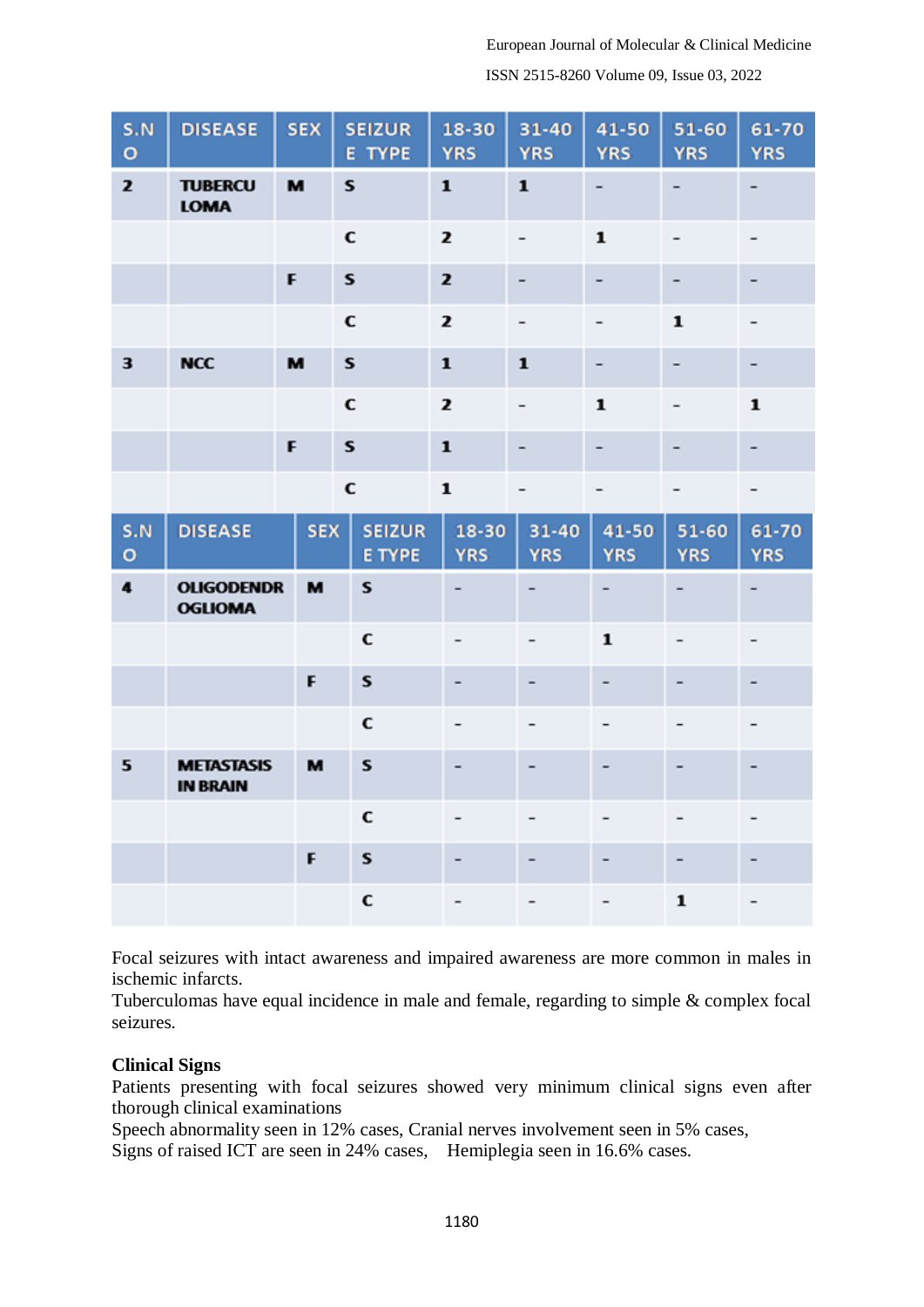ISSN 2515-8260 Volume 09, Issue 03, 2022

| S.N<br>$\circ$       | <b>DISEASE</b>                       | <b>SEX</b> | <b>SEIZUR</b><br>E TYPE        | 18-30<br><b>YRS</b> | 31-40<br><b>YRS</b>     | 41-50<br><b>YRS</b>          | 51-60<br><b>YRS</b>      | 61-70<br><b>YRS</b> |
|----------------------|--------------------------------------|------------|--------------------------------|---------------------|-------------------------|------------------------------|--------------------------|---------------------|
| $\mathbf{z}$         | <b>TUBERCU</b><br><b>LOMA</b>        | M          | ${\bf s}$                      | ${\bf 1}$           | ${\bf 1}$               | -                            |                          |                     |
|                      |                                      |            | $\mathbf c$                    | $\mathbf{z}$        |                         | $\mathbf{1}$                 |                          |                     |
|                      |                                      | F          | ${\bf s}$                      | $\mathbf{z}$        | ۰.                      | ۰                            | ۰                        | ۰                   |
|                      |                                      |            | C                              | $\mathbf{z}$        |                         |                              | $\mathbf{1}$             |                     |
| 3                    | <b>NCC</b>                           | M          | s                              | $\mathbf{1}$        | $\mathbf{1}$            |                              |                          |                     |
|                      |                                      |            | $\mathbf c$                    | $\mathbf{z}$        | -                       | $\mathbf 1$                  | -                        | $\mathbf{1}$        |
|                      |                                      | F          | $\mathbf{s}$                   | ${\bf 1}$           | -                       | -                            | -                        | ۰                   |
|                      |                                      |            | $\mathbf c$                    | $\mathbf{1}$        |                         |                              |                          |                     |
| S.N<br>$\circ$       | <b>DISEASE</b>                       | <b>SEX</b> | <b>SEIZUR</b><br><b>E TYPE</b> | 18-30<br><b>YRS</b> | $31 - 40$<br><b>YRS</b> | 41-50<br><b>YRS</b>          | 51-60<br><b>YRS</b>      | 61-70<br><b>YRS</b> |
| $\ddot{\phantom{a}}$ | <b>OLIGODENDR</b><br><b>OGLIOMA</b>  | м          | S                              |                     | $\qquad \qquad -$       | $\qquad \qquad \blacksquare$ | $\overline{\phantom{0}}$ |                     |
|                      |                                      |            | C                              |                     |                         | $\mathbf{1}$                 |                          |                     |
|                      |                                      | F          | S                              |                     | ۰                       | ۰                            |                          |                     |
|                      |                                      |            | C                              |                     | $\overline{a}$          | -                            |                          |                     |
| 5                    | <b>METASTASIS</b><br><b>IN BRAIN</b> | м          | S                              |                     | -                       |                              |                          |                     |
|                      |                                      |            | С                              |                     |                         |                              |                          |                     |
|                      |                                      | F          | S                              |                     |                         |                              |                          |                     |
|                      |                                      |            |                                |                     |                         |                              |                          |                     |

Focal seizures with intact awareness and impaired awareness are more common in males in ischemic infarcts.

Tuberculomas have equal incidence in male and female, regarding to simple & complex focal seizures.

#### **Clinical Signs**

Patients presenting with focal seizures showed very minimum clinical signs even after thorough clinical examinations

Speech abnormality seen in 12% cases, Cranial nerves involvement seen in 5% cases, Signs of raised ICT are seen in 24% cases, Hemiplegia seen in 16.6% cases.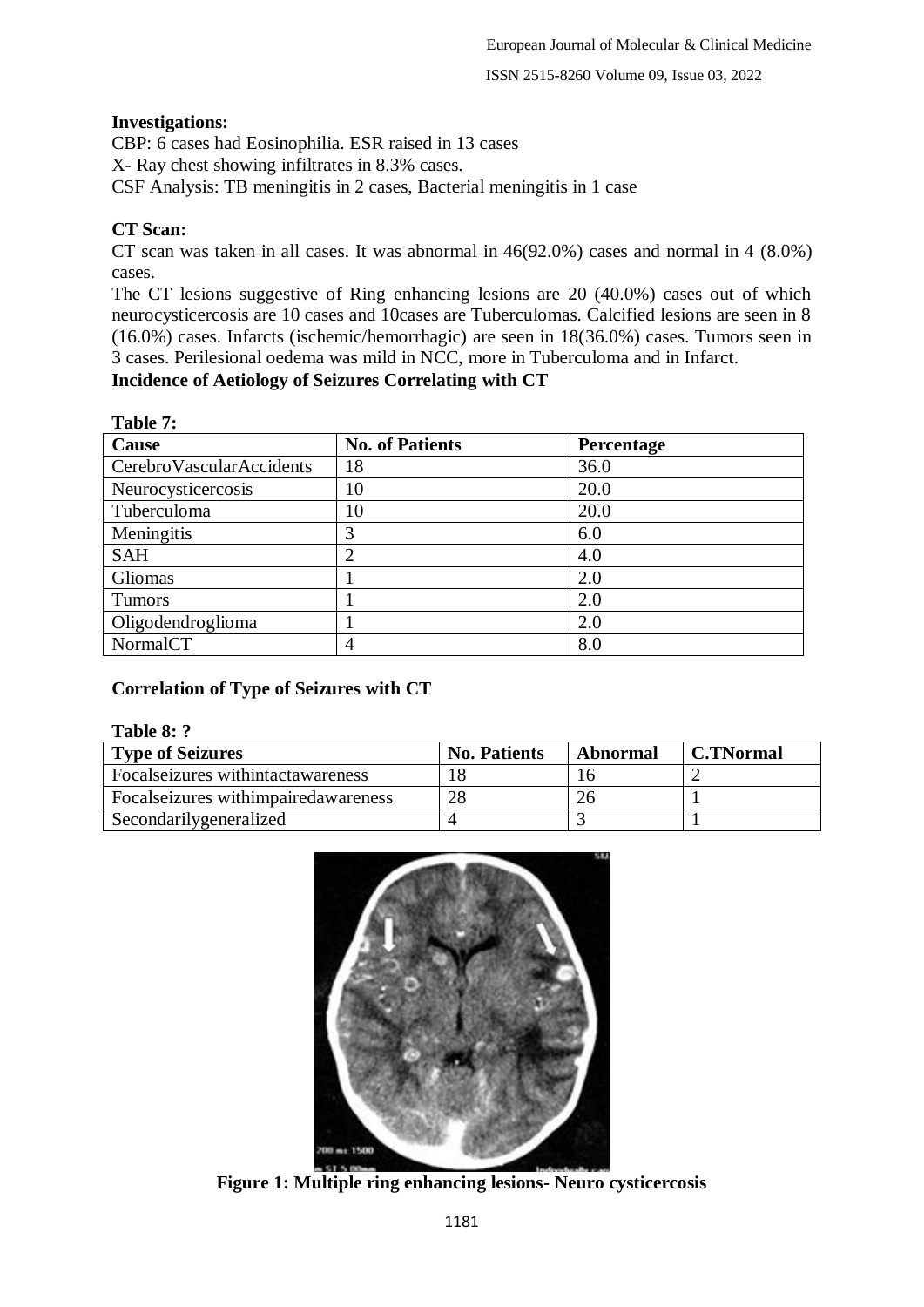ISSN 2515-8260 Volume 09, Issue 03, 2022

## **Investigations:**

CBP: 6 cases had Eosinophilia. ESR raised in 13 cases

X- Ray chest showing infiltrates in 8.3% cases.

CSF Analysis: TB meningitis in 2 cases, Bacterial meningitis in 1 case

## **CT Scan:**

**Table 7: Table 7:** 

CT scan was taken in all cases. It was abnormal in 46(92.0%) cases and normal in 4 (8.0%) cases.

The CT lesions suggestive of Ring enhancing lesions are 20 (40.0%) cases out of which neurocysticercosis are 10 cases and 10cases are Tuberculomas. Calcified lesions are seen in 8 (16.0%) cases. Infarcts (ischemic/hemorrhagic) are seen in 18(36.0%) cases. Tumors seen in 3 cases. Perilesional oedema was mild in NCC, more in Tuberculoma and in Infarct.

## **Incidence of Aetiology of Seizures Correlating with CT**

| Table 7:                   |                        |                   |
|----------------------------|------------------------|-------------------|
| Cause                      | <b>No. of Patients</b> | <b>Percentage</b> |
| Cerebro Vascular Accidents | 18                     | 36.0              |
| Neurocysticercosis         | 10                     | 20.0              |
| Tuberculoma                | 10                     | 20.0              |
| Meningitis                 | 3                      | 6.0               |
| <b>SAH</b>                 | 2                      | 4.0               |
| Gliomas                    |                        | 2.0               |
| <b>Tumors</b>              |                        | 2.0               |
| Oligodendroglioma          |                        | 2.0               |
| NormalCT                   | 4                      | 8.0               |

## **Correlation of Type of Seizures with CT**

#### **Table 8: ?**

| <b>Type of Seizures</b>                | <b>No. Patients</b> | Abnormal | <b>C.TNormal</b> |
|----------------------------------------|---------------------|----------|------------------|
| Focal seizures withintactawareness     |                     |          |                  |
| Focal seizures with impaired awareness | 28                  | 26       |                  |
| Secondarilygeneralized                 |                     |          |                  |



**Figure 1: Multiple ring enhancing lesions- Neuro cysticercosis**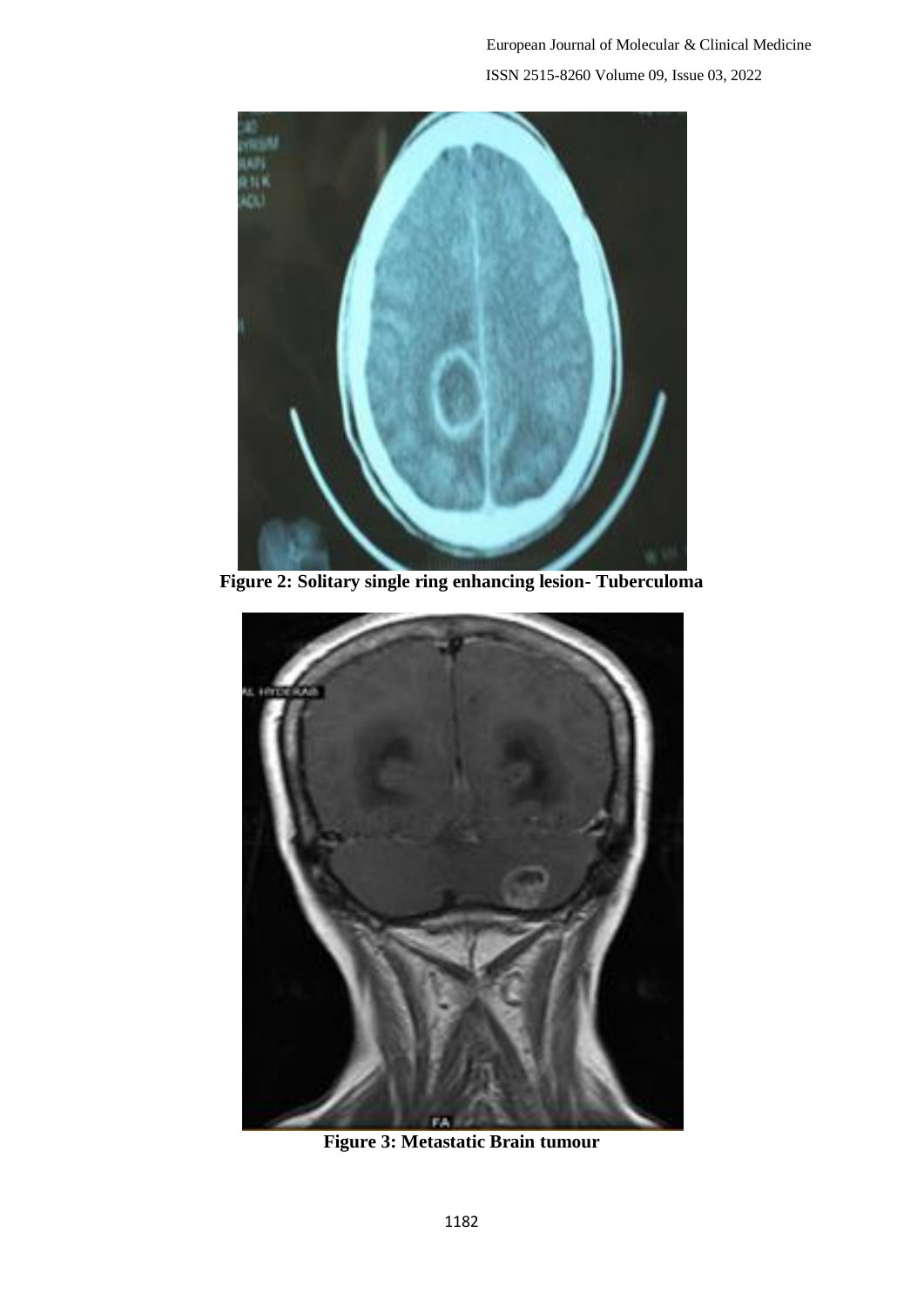European Journal of Molecular & Clinical Medicine ISSN 2515-8260 Volume 09, Issue 03, 2022



**Figure 2: Solitary single ring enhancing lesion- Tuberculoma**



**Figure 3: Metastatic Brain tumour**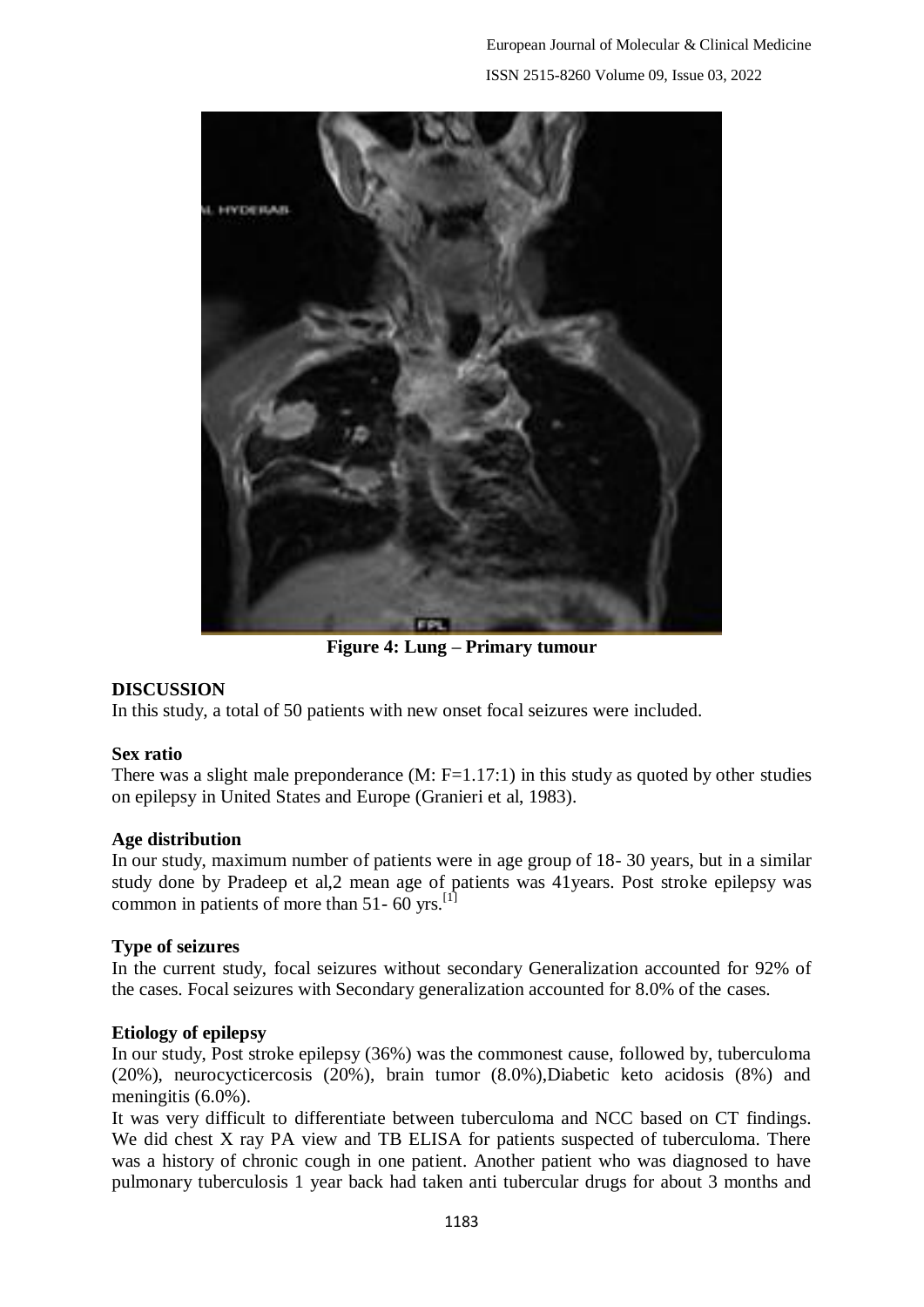

**Figure 4: Lung – Primary tumour**

## **DISCUSSION**

In this study, a total of 50 patients with new onset focal seizures were included.

## **Sex ratio**

There was a slight male preponderance  $(M: F=1.17:1)$  in this study as quoted by other studies on epilepsy in United States and Europe (Granieri et al, 1983).

## **Age distribution**

In our study, maximum number of patients were in age group of 18- 30 years, but in a similar study done by Pradeep et al,2 mean age of patients was 41years. Post stroke epilepsy was common in patients of more than 51-  $60$  yrs.<sup>[1]</sup>

## **Type of seizures**

In the current study, focal seizures without secondary Generalization accounted for 92% of the cases. Focal seizures with Secondary generalization accounted for 8.0% of the cases.

## **Etiology of epilepsy**

In our study, Post stroke epilepsy (36%) was the commonest cause, followed by, tuberculoma (20%), neurocycticercosis (20%), brain tumor (8.0%),Diabetic keto acidosis (8%) and meningitis (6.0%).

It was very difficult to differentiate between tuberculoma and NCC based on CT findings. We did chest X ray PA view and TB ELISA for patients suspected of tuberculoma. There was a history of chronic cough in one patient. Another patient who was diagnosed to have pulmonary tuberculosis 1 year back had taken anti tubercular drugs for about 3 months and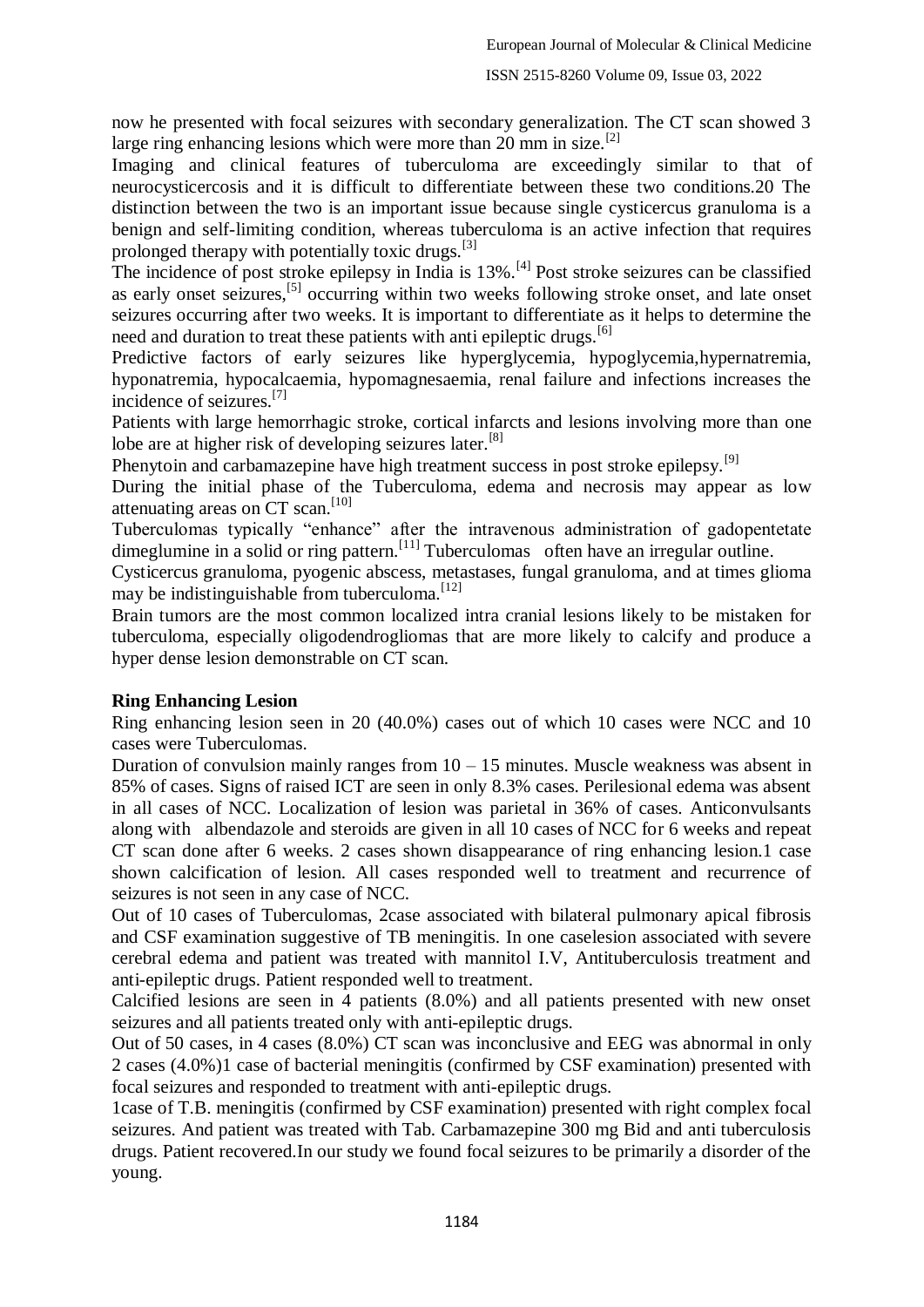now he presented with focal seizures with secondary generalization. The CT scan showed 3 large ring enhancing lesions which were more than 20 mm in size.<sup>[2]</sup>

Imaging and clinical features of tuberculoma are exceedingly similar to that of neurocysticercosis and it is difficult to differentiate between these two conditions.20 The distinction between the two is an important issue because single cysticercus granuloma is a benign and self-limiting condition, whereas tuberculoma is an active infection that requires prolonged therapy with potentially toxic drugs. $^{[3]}$ 

The incidence of post stroke epilepsy in India is  $13\%$ .<sup>[4]</sup> Post stroke seizures can be classified as early onset seizures,[5] occurring within two weeks following stroke onset, and late onset seizures occurring after two weeks. It is important to differentiate as it helps to determine the need and duration to treat these patients with anti epileptic drugs.<sup>[6]</sup>

Predictive factors of early seizures like hyperglycemia, hypoglycemia,hypernatremia, hyponatremia, hypocalcaemia, hypomagnesaemia, renal failure and infections increases the incidence of seizures.[7]

Patients with large hemorrhagic stroke, cortical infarcts and lesions involving more than one lobe are at higher risk of developing seizures later.<sup>[8]</sup>

Phenytoin and carbamazepine have high treatment success in post stroke epilepsy.<sup>[9]</sup>

During the initial phase of the Tuberculoma, edema and necrosis may appear as low attenuating areas on CT scan. [10]

Tuberculomas typically "enhance" after the intravenous administration of gadopentetate dimeglumine in a solid or ring pattern.<sup>[11]</sup> Tuberculomas often have an irregular outline.

Cysticercus granuloma, pyogenic abscess, metastases, fungal granuloma, and at times glioma may be indistinguishable from tuberculoma.<sup>[12]</sup>

Brain tumors are the most common localized intra cranial lesions likely to be mistaken for tuberculoma, especially oligodendrogliomas that are more likely to calcify and produce a hyper dense lesion demonstrable on CT scan.

#### **Ring Enhancing Lesion**

Ring enhancing lesion seen in 20 (40.0%) cases out of which 10 cases were NCC and 10 cases were Tuberculomas.

Duration of convulsion mainly ranges from  $10 - 15$  minutes. Muscle weakness was absent in 85% of cases. Signs of raised ICT are seen in only 8.3% cases. Perilesional edema was absent in all cases of NCC. Localization of lesion was parietal in 36% of cases. Anticonvulsants along with albendazole and steroids are given in all 10 cases of NCC for 6 weeks and repeat CT scan done after 6 weeks. 2 cases shown disappearance of ring enhancing lesion.1 case shown calcification of lesion. All cases responded well to treatment and recurrence of seizures is not seen in any case of NCC.

Out of 10 cases of Tuberculomas, 2case associated with bilateral pulmonary apical fibrosis and CSF examination suggestive of TB meningitis. In one caselesion associated with severe cerebral edema and patient was treated with mannitol I.V, Antituberculosis treatment and anti-epileptic drugs. Patient responded well to treatment.

Calcified lesions are seen in 4 patients (8.0%) and all patients presented with new onset seizures and all patients treated only with anti-epileptic drugs.

Out of 50 cases, in 4 cases (8.0%) CT scan was inconclusive and EEG was abnormal in only 2 cases (4.0%)1 case of bacterial meningitis (confirmed by CSF examination) presented with focal seizures and responded to treatment with anti-epileptic drugs.

1case of T.B. meningitis (confirmed by CSF examination) presented with right complex focal seizures. And patient was treated with Tab. Carbamazepine 300 mg Bid and anti tuberculosis drugs. Patient recovered.In our study we found focal seizures to be primarily a disorder of the young.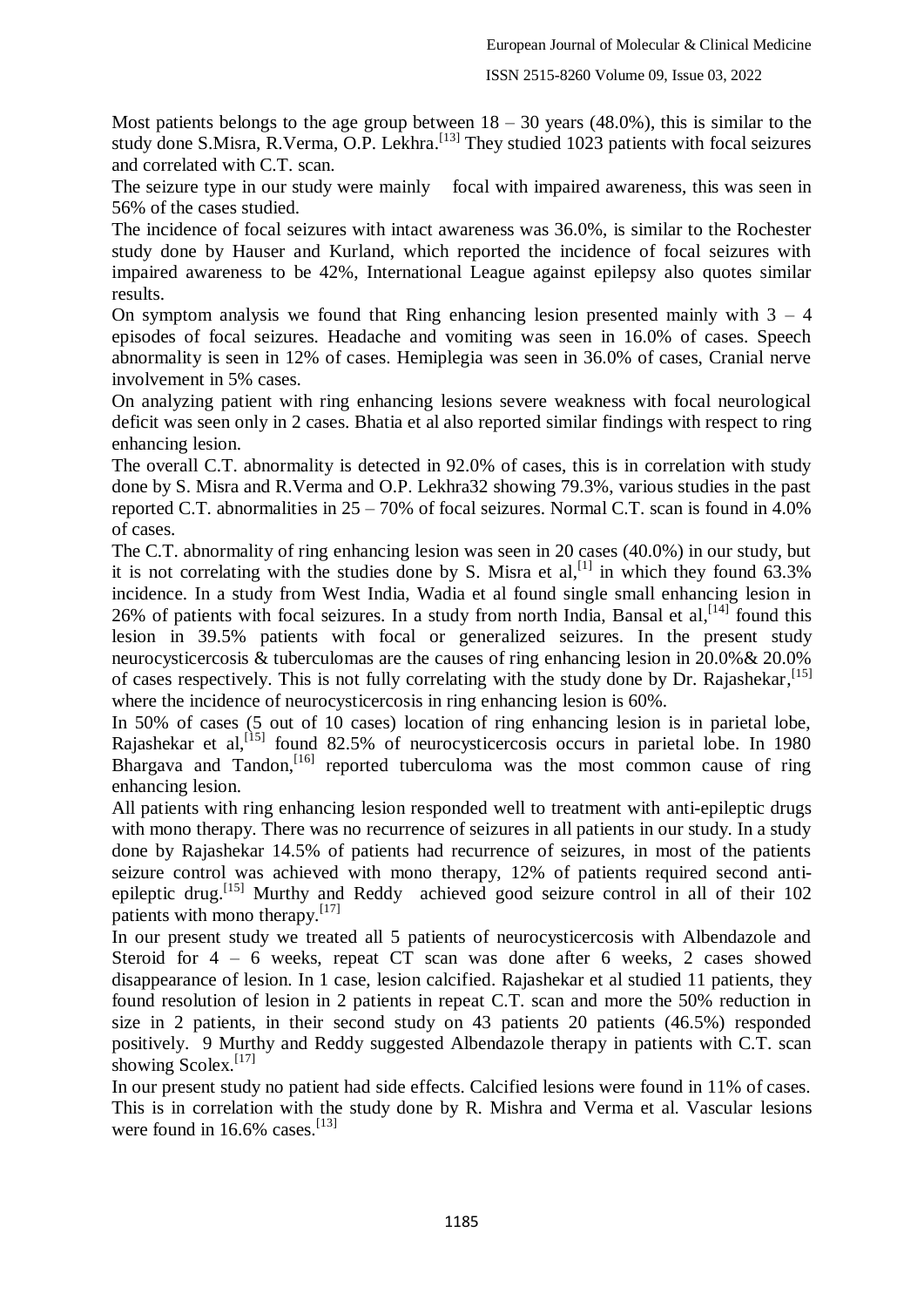Most patients belongs to the age group between  $18 - 30$  years (48.0%), this is similar to the study done S.Misra, R.Verma, O.P. Lekhra.<sup>[13]</sup> They studied 1023 patients with focal seizures and correlated with C.T. scan.

The seizure type in our study were mainly focal with impaired awareness, this was seen in 56% of the cases studied.

The incidence of focal seizures with intact awareness was 36.0%, is similar to the Rochester study done by Hauser and Kurland, which reported the incidence of focal seizures with impaired awareness to be 42%, International League against epilepsy also quotes similar results.

On symptom analysis we found that Ring enhancing lesion presented mainly with  $3 - 4$ episodes of focal seizures. Headache and vomiting was seen in 16.0% of cases. Speech abnormality is seen in 12% of cases. Hemiplegia was seen in 36.0% of cases, Cranial nerve involvement in 5% cases.

On analyzing patient with ring enhancing lesions severe weakness with focal neurological deficit was seen only in 2 cases. Bhatia et al also reported similar findings with respect to ring enhancing lesion.

The overall C.T. abnormality is detected in 92.0% of cases, this is in correlation with study done by S. Misra and R.Verma and O.P. Lekhra32 showing 79.3%, various studies in the past reported C.T. abnormalities in 25 – 70% of focal seizures. Normal C.T. scan is found in 4.0% of cases.

The C.T. abnormality of ring enhancing lesion was seen in 20 cases (40.0%) in our study, but it is not correlating with the studies done by S. Misra et al,  $\left[1\right]$  in which they found 63.3% incidence. In a study from West India, Wadia et al found single small enhancing lesion in 26% of patients with focal seizures. In a study from north India, Bansal et al,  $[14]$  found this lesion in 39.5% patients with focal or generalized seizures. In the present study neurocysticercosis & tuberculomas are the causes of ring enhancing lesion in 20.0%& 20.0% of cases respectively. This is not fully correlating with the study done by Dr. Rajashekar, [15] where the incidence of neurocysticercosis in ring enhancing lesion is  $60\%$ .

In 50% of cases (5 out of 10 cases) location of ring enhancing lesion is in parietal lobe, Rajashekar et al,<sup>[15]</sup> found 82.5% of neurocysticercosis occurs in parietal lobe. In 1980 Bhargava and Tandon,<sup>[16]</sup> reported tuberculoma was the most common cause of ring enhancing lesion.

All patients with ring enhancing lesion responded well to treatment with anti-epileptic drugs with mono therapy. There was no recurrence of seizures in all patients in our study. In a study done by Rajashekar 14.5% of patients had recurrence of seizures, in most of the patients seizure control was achieved with mono therapy, 12% of patients required second antiepileptic drug.[15] Murthy and Reddy achieved good seizure control in all of their 102 patients with mono therapy. $[17]$ 

In our present study we treated all 5 patients of neurocysticercosis with Albendazole and Steroid for 4 – 6 weeks, repeat CT scan was done after 6 weeks, 2 cases showed disappearance of lesion. In 1 case, lesion calcified. Rajashekar et al studied 11 patients, they found resolution of lesion in 2 patients in repeat C.T. scan and more the 50% reduction in size in 2 patients, in their second study on 43 patients 20 patients (46.5%) responded positively. 9 Murthy and Reddy suggested Albendazole therapy in patients with C.T. scan showing Scolex.<sup>[17]</sup>

In our present study no patient had side effects. Calcified lesions were found in 11% of cases. This is in correlation with the study done by R. Mishra and Verma et al. Vascular lesions were found in  $16.6\%$  cases.<sup>[13]</sup>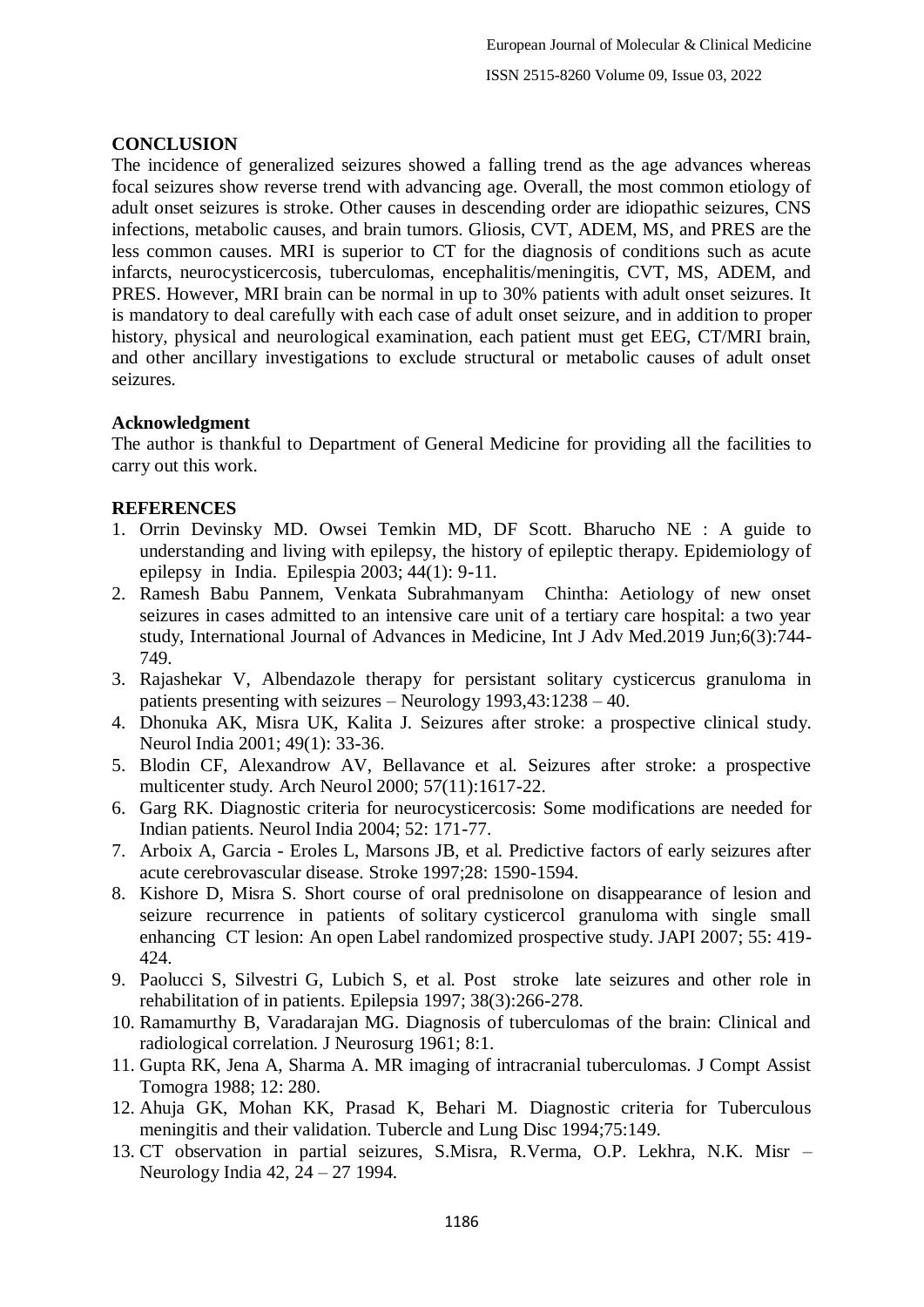## **CONCLUSION**

The incidence of generalized seizures showed a falling trend as the age advances whereas focal seizures show reverse trend with advancing age. Overall, the most common etiology of adult onset seizures is stroke. Other causes in descending order are idiopathic seizures, CNS infections, metabolic causes, and brain tumors. Gliosis, CVT, ADEM, MS, and PRES are the less common causes. MRI is superior to CT for the diagnosis of conditions such as acute infarcts, neurocysticercosis, tuberculomas, encephalitis/meningitis, CVT, MS, ADEM, and PRES. However, MRI brain can be normal in up to 30% patients with adult onset seizures. It is mandatory to deal carefully with each case of adult onset seizure, and in addition to proper history, physical and neurological examination, each patient must get EEG, CT/MRI brain, and other ancillary investigations to exclude structural or metabolic causes of adult onset seizures.

#### **Acknowledgment**

The author is thankful to Department of General Medicine for providing all the facilities to carry out this work.

## **REFERENCES**

- 1. Orrin Devinsky MD. Owsei Temkin MD, DF Scott. Bharucho NE : A guide to understanding and living with epilepsy, the history of epileptic therapy. Epidemiology of epilepsy in India. Epilespia 2003; 44(1): 9-11.
- 2. Ramesh Babu Pannem, Venkata Subrahmanyam Chintha: Aetiology of new onset seizures in cases admitted to an intensive care unit of a tertiary care hospital: a two year study, International Journal of Advances in Medicine, Int J Adv Med.2019 Jun;6(3):744- 749.
- 3. Rajashekar V, Albendazole therapy for persistant solitary cysticercus granuloma in patients presenting with seizures – Neurology 1993,43:1238 – 40.
- 4. Dhonuka AK, Misra UK, Kalita J. Seizures after stroke: a prospective clinical study. Neurol India 2001; 49(1): 33-36.
- 5. Blodin CF, Alexandrow AV, Bellavance et al. Seizures after stroke: a prospective multicenter study. Arch Neurol 2000; 57(11):1617-22.
- 6. Garg RK. Diagnostic criteria for neurocysticercosis: Some modifications are needed for Indian patients. Neurol India 2004; 52: 171-77.
- 7. Arboix A, Garcia Eroles L, Marsons JB, et al. Predictive factors of early seizures after acute cerebrovascular disease. Stroke 1997;28: 1590-1594.
- 8. Kishore D, Misra S. Short course of oral prednisolone on disappearance of lesion and seizure recurrence in patients of solitary cysticercol granuloma with single small enhancing CT lesion: An open Label randomized prospective study. JAPI 2007; 55: 419- 424.
- 9. Paolucci S, Silvestri G, Lubich S, et al. Post stroke late seizures and other role in rehabilitation of in patients. Epilepsia 1997; 38(3):266-278.
- 10. Ramamurthy B, Varadarajan MG. Diagnosis of tuberculomas of the brain: Clinical and radiological correlation. J Neurosurg 1961; 8:1.
- 11. Gupta RK, Jena A, Sharma A. MR imaging of intracranial tuberculomas. J Compt Assist Tomogra 1988; 12: 280.
- 12. Ahuja GK, Mohan KK, Prasad K, Behari M. Diagnostic criteria for Tuberculous meningitis and their validation. Tubercle and Lung Disc 1994;75:149.
- 13. CT observation in partial seizures, S.Misra, R.Verma, O.P. Lekhra, N.K. Misr Neurology India 42, 24 – 27 1994.